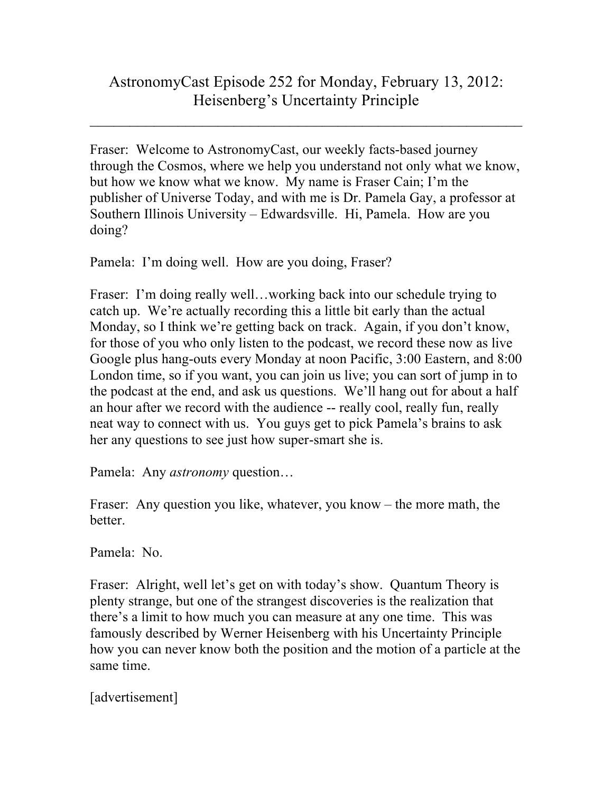## AstronomyCast Episode 252 for Monday, February 13, 2012: Heisenberg's Uncertainty Principle

 $\_$ 

Fraser: Welcome to AstronomyCast, our weekly facts-based journey through the Cosmos, where we help you understand not only what we know, but how we know what we know. My name is Fraser Cain; I'm the publisher of Universe Today, and with me is Dr. Pamela Gay, a professor at Southern Illinois University – Edwardsville. Hi, Pamela. How are you doing?

Pamela: I'm doing well. How are you doing, Fraser?

Fraser: I'm doing really well…working back into our schedule trying to catch up. We're actually recording this a little bit early than the actual Monday, so I think we're getting back on track. Again, if you don't know, for those of you who only listen to the podcast, we record these now as live Google plus hang-outs every Monday at noon Pacific, 3:00 Eastern, and 8:00 London time, so if you want, you can join us live; you can sort of jump in to the podcast at the end, and ask us questions. We'll hang out for about a half an hour after we record with the audience -- really cool, really fun, really neat way to connect with us. You guys get to pick Pamela's brains to ask her any questions to see just how super-smart she is.

Pamela: Any *astronomy* question…

Fraser: Any question you like, whatever, you know – the more math, the better.

Pamela: No.

Fraser: Alright, well let's get on with today's show. Quantum Theory is plenty strange, but one of the strangest discoveries is the realization that there's a limit to how much you can measure at any one time. This was famously described by Werner Heisenberg with his Uncertainty Principle how you can never know both the position and the motion of a particle at the same time.

[advertisement]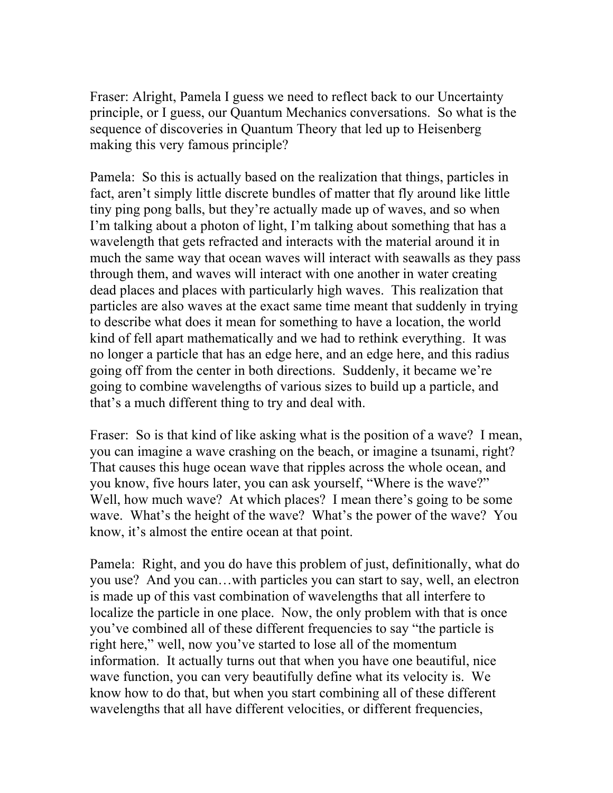Fraser: Alright, Pamela I guess we need to reflect back to our Uncertainty principle, or I guess, our Quantum Mechanics conversations. So what is the sequence of discoveries in Quantum Theory that led up to Heisenberg making this very famous principle?

Pamela: So this is actually based on the realization that things, particles in fact, aren't simply little discrete bundles of matter that fly around like little tiny ping pong balls, but they're actually made up of waves, and so when I'm talking about a photon of light, I'm talking about something that has a wavelength that gets refracted and interacts with the material around it in much the same way that ocean waves will interact with seawalls as they pass through them, and waves will interact with one another in water creating dead places and places with particularly high waves. This realization that particles are also waves at the exact same time meant that suddenly in trying to describe what does it mean for something to have a location, the world kind of fell apart mathematically and we had to rethink everything. It was no longer a particle that has an edge here, and an edge here, and this radius going off from the center in both directions. Suddenly, it became we're going to combine wavelengths of various sizes to build up a particle, and that's a much different thing to try and deal with.

Fraser: So is that kind of like asking what is the position of a wave? I mean, you can imagine a wave crashing on the beach, or imagine a tsunami, right? That causes this huge ocean wave that ripples across the whole ocean, and you know, five hours later, you can ask yourself, "Where is the wave?" Well, how much wave? At which places? I mean there's going to be some wave. What's the height of the wave? What's the power of the wave? You know, it's almost the entire ocean at that point.

Pamela: Right, and you do have this problem of just, definitionally, what do you use? And you can…with particles you can start to say, well, an electron is made up of this vast combination of wavelengths that all interfere to localize the particle in one place. Now, the only problem with that is once you've combined all of these different frequencies to say "the particle is right here," well, now you've started to lose all of the momentum information. It actually turns out that when you have one beautiful, nice wave function, you can very beautifully define what its velocity is. We know how to do that, but when you start combining all of these different wavelengths that all have different velocities, or different frequencies,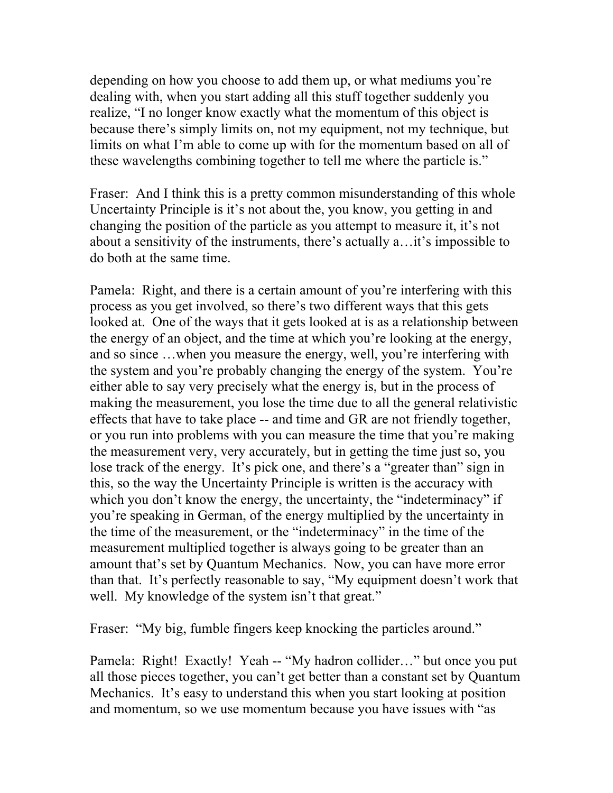depending on how you choose to add them up, or what mediums you're dealing with, when you start adding all this stuff together suddenly you realize, "I no longer know exactly what the momentum of this object is because there's simply limits on, not my equipment, not my technique, but limits on what I'm able to come up with for the momentum based on all of these wavelengths combining together to tell me where the particle is."

Fraser: And I think this is a pretty common misunderstanding of this whole Uncertainty Principle is it's not about the, you know, you getting in and changing the position of the particle as you attempt to measure it, it's not about a sensitivity of the instruments, there's actually a…it's impossible to do both at the same time.

Pamela: Right, and there is a certain amount of you're interfering with this process as you get involved, so there's two different ways that this gets looked at. One of the ways that it gets looked at is as a relationship between the energy of an object, and the time at which you're looking at the energy, and so since …when you measure the energy, well, you're interfering with the system and you're probably changing the energy of the system. You're either able to say very precisely what the energy is, but in the process of making the measurement, you lose the time due to all the general relativistic effects that have to take place -- and time and GR are not friendly together, or you run into problems with you can measure the time that you're making the measurement very, very accurately, but in getting the time just so, you lose track of the energy. It's pick one, and there's a "greater than" sign in this, so the way the Uncertainty Principle is written is the accuracy with which you don't know the energy, the uncertainty, the "indeterminacy" if you're speaking in German, of the energy multiplied by the uncertainty in the time of the measurement, or the "indeterminacy" in the time of the measurement multiplied together is always going to be greater than an amount that's set by Quantum Mechanics. Now, you can have more error than that. It's perfectly reasonable to say, "My equipment doesn't work that well. My knowledge of the system isn't that great."

Fraser: "My big, fumble fingers keep knocking the particles around."

Pamela: Right! Exactly! Yeah -- "My hadron collider…" but once you put all those pieces together, you can't get better than a constant set by Quantum Mechanics. It's easy to understand this when you start looking at position and momentum, so we use momentum because you have issues with "as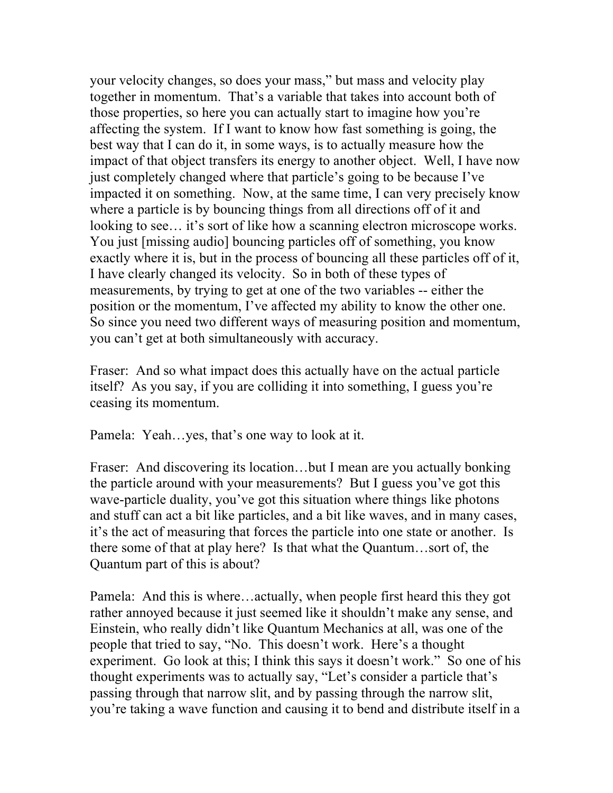your velocity changes, so does your mass," but mass and velocity play together in momentum. That's a variable that takes into account both of those properties, so here you can actually start to imagine how you're affecting the system. If I want to know how fast something is going, the best way that I can do it, in some ways, is to actually measure how the impact of that object transfers its energy to another object. Well, I have now just completely changed where that particle's going to be because I've impacted it on something. Now, at the same time, I can very precisely know where a particle is by bouncing things from all directions off of it and looking to see… it's sort of like how a scanning electron microscope works. You just [missing audio] bouncing particles off of something, you know exactly where it is, but in the process of bouncing all these particles off of it, I have clearly changed its velocity. So in both of these types of measurements, by trying to get at one of the two variables -- either the position or the momentum, I've affected my ability to know the other one. So since you need two different ways of measuring position and momentum, you can't get at both simultaneously with accuracy.

Fraser: And so what impact does this actually have on the actual particle itself? As you say, if you are colliding it into something, I guess you're ceasing its momentum.

Pamela: Yeah…yes, that's one way to look at it.

Fraser: And discovering its location...but I mean are you actually bonking the particle around with your measurements? But I guess you've got this wave-particle duality, you've got this situation where things like photons and stuff can act a bit like particles, and a bit like waves, and in many cases, it's the act of measuring that forces the particle into one state or another. Is there some of that at play here? Is that what the Quantum…sort of, the Quantum part of this is about?

Pamela: And this is where…actually, when people first heard this they got rather annoyed because it just seemed like it shouldn't make any sense, and Einstein, who really didn't like Quantum Mechanics at all, was one of the people that tried to say, "No. This doesn't work. Here's a thought experiment. Go look at this; I think this says it doesn't work." So one of his thought experiments was to actually say, "Let's consider a particle that's passing through that narrow slit, and by passing through the narrow slit, you're taking a wave function and causing it to bend and distribute itself in a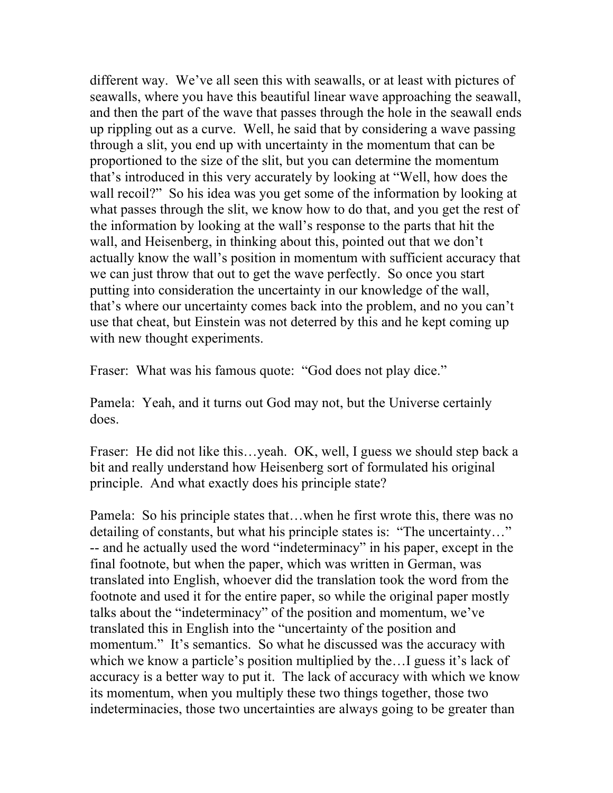different way. We've all seen this with seawalls, or at least with pictures of seawalls, where you have this beautiful linear wave approaching the seawall, and then the part of the wave that passes through the hole in the seawall ends up rippling out as a curve. Well, he said that by considering a wave passing through a slit, you end up with uncertainty in the momentum that can be proportioned to the size of the slit, but you can determine the momentum that's introduced in this very accurately by looking at "Well, how does the wall recoil?" So his idea was you get some of the information by looking at what passes through the slit, we know how to do that, and you get the rest of the information by looking at the wall's response to the parts that hit the wall, and Heisenberg, in thinking about this, pointed out that we don't actually know the wall's position in momentum with sufficient accuracy that we can just throw that out to get the wave perfectly. So once you start putting into consideration the uncertainty in our knowledge of the wall, that's where our uncertainty comes back into the problem, and no you can't use that cheat, but Einstein was not deterred by this and he kept coming up with new thought experiments.

Fraser: What was his famous quote: "God does not play dice."

Pamela: Yeah, and it turns out God may not, but the Universe certainly does.

Fraser: He did not like this...yeah. OK, well, I guess we should step back a bit and really understand how Heisenberg sort of formulated his original principle. And what exactly does his principle state?

Pamela: So his principle states that…when he first wrote this, there was no detailing of constants, but what his principle states is: "The uncertainty…" -- and he actually used the word "indeterminacy" in his paper, except in the final footnote, but when the paper, which was written in German, was translated into English, whoever did the translation took the word from the footnote and used it for the entire paper, so while the original paper mostly talks about the "indeterminacy" of the position and momentum, we've translated this in English into the "uncertainty of the position and momentum." It's semantics. So what he discussed was the accuracy with which we know a particle's position multiplied by the... I guess it's lack of accuracy is a better way to put it. The lack of accuracy with which we know its momentum, when you multiply these two things together, those two indeterminacies, those two uncertainties are always going to be greater than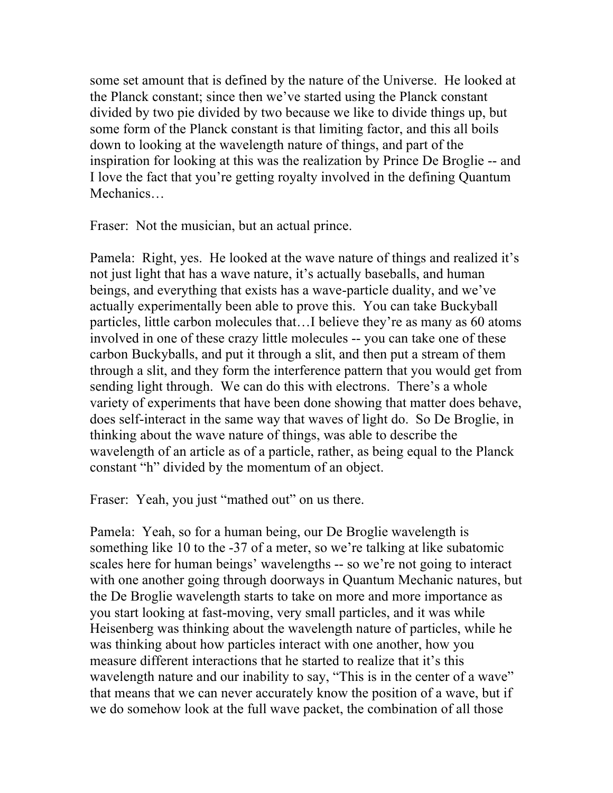some set amount that is defined by the nature of the Universe. He looked at the Planck constant; since then we've started using the Planck constant divided by two pie divided by two because we like to divide things up, but some form of the Planck constant is that limiting factor, and this all boils down to looking at the wavelength nature of things, and part of the inspiration for looking at this was the realization by Prince De Broglie -- and I love the fact that you're getting royalty involved in the defining Quantum Mechanics…

Fraser: Not the musician, but an actual prince.

Pamela: Right, yes. He looked at the wave nature of things and realized it's not just light that has a wave nature, it's actually baseballs, and human beings, and everything that exists has a wave-particle duality, and we've actually experimentally been able to prove this. You can take Buckyball particles, little carbon molecules that…I believe they're as many as 60 atoms involved in one of these crazy little molecules -- you can take one of these carbon Buckyballs, and put it through a slit, and then put a stream of them through a slit, and they form the interference pattern that you would get from sending light through. We can do this with electrons. There's a whole variety of experiments that have been done showing that matter does behave, does self-interact in the same way that waves of light do. So De Broglie, in thinking about the wave nature of things, was able to describe the wavelength of an article as of a particle, rather, as being equal to the Planck constant "h" divided by the momentum of an object.

Fraser: Yeah, you just "mathed out" on us there.

Pamela: Yeah, so for a human being, our De Broglie wavelength is something like 10 to the -37 of a meter, so we're talking at like subatomic scales here for human beings' wavelengths -- so we're not going to interact with one another going through doorways in Quantum Mechanic natures, but the De Broglie wavelength starts to take on more and more importance as you start looking at fast-moving, very small particles, and it was while Heisenberg was thinking about the wavelength nature of particles, while he was thinking about how particles interact with one another, how you measure different interactions that he started to realize that it's this wavelength nature and our inability to say, "This is in the center of a wave" that means that we can never accurately know the position of a wave, but if we do somehow look at the full wave packet, the combination of all those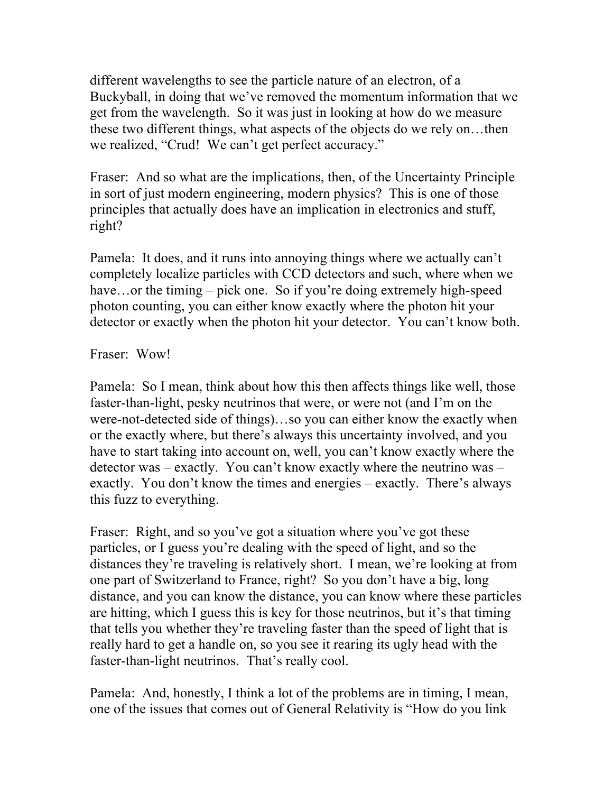different wavelengths to see the particle nature of an electron, of a Buckyball, in doing that we've removed the momentum information that we get from the wavelength. So it was just in looking at how do we measure these two different things, what aspects of the objects do we rely on…then we realized, "Crud! We can't get perfect accuracy."

Fraser: And so what are the implications, then, of the Uncertainty Principle in sort of just modern engineering, modern physics? This is one of those principles that actually does have an implication in electronics and stuff, right?

Pamela: It does, and it runs into annoying things where we actually can't completely localize particles with CCD detectors and such, where when we have...or the timing – pick one. So if you're doing extremely high-speed photon counting, you can either know exactly where the photon hit your detector or exactly when the photon hit your detector. You can't know both.

Fraser: Wow!

Pamela: So I mean, think about how this then affects things like well, those faster-than-light, pesky neutrinos that were, or were not (and I'm on the were-not-detected side of things)…so you can either know the exactly when or the exactly where, but there's always this uncertainty involved, and you have to start taking into account on, well, you can't know exactly where the detector was – exactly. You can't know exactly where the neutrino was – exactly. You don't know the times and energies – exactly. There's always this fuzz to everything.

Fraser: Right, and so you've got a situation where you've got these particles, or I guess you're dealing with the speed of light, and so the distances they're traveling is relatively short. I mean, we're looking at from one part of Switzerland to France, right? So you don't have a big, long distance, and you can know the distance, you can know where these particles are hitting, which I guess this is key for those neutrinos, but it's that timing that tells you whether they're traveling faster than the speed of light that is really hard to get a handle on, so you see it rearing its ugly head with the faster-than-light neutrinos. That's really cool.

Pamela: And, honestly, I think a lot of the problems are in timing, I mean, one of the issues that comes out of General Relativity is "How do you link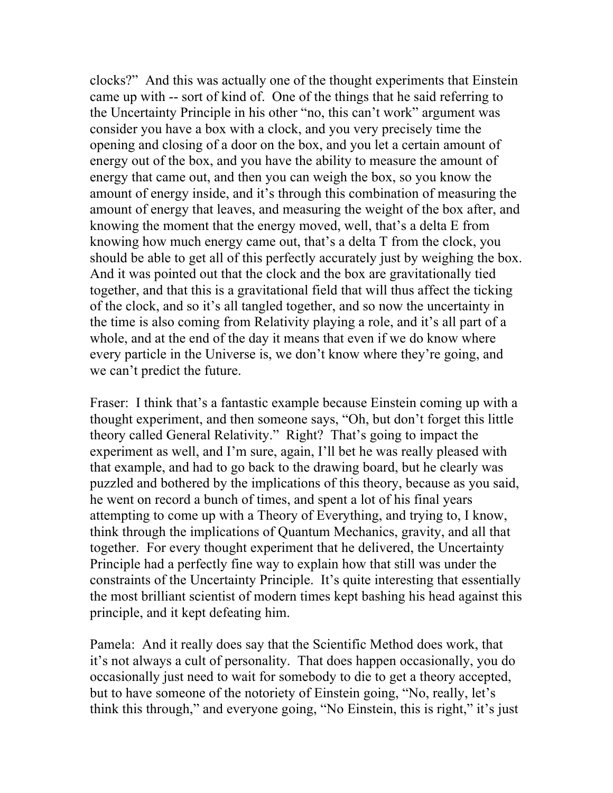clocks?" And this was actually one of the thought experiments that Einstein came up with -- sort of kind of. One of the things that he said referring to the Uncertainty Principle in his other "no, this can't work" argument was consider you have a box with a clock, and you very precisely time the opening and closing of a door on the box, and you let a certain amount of energy out of the box, and you have the ability to measure the amount of energy that came out, and then you can weigh the box, so you know the amount of energy inside, and it's through this combination of measuring the amount of energy that leaves, and measuring the weight of the box after, and knowing the moment that the energy moved, well, that's a delta E from knowing how much energy came out, that's a delta T from the clock, you should be able to get all of this perfectly accurately just by weighing the box. And it was pointed out that the clock and the box are gravitationally tied together, and that this is a gravitational field that will thus affect the ticking of the clock, and so it's all tangled together, and so now the uncertainty in the time is also coming from Relativity playing a role, and it's all part of a whole, and at the end of the day it means that even if we do know where every particle in the Universe is, we don't know where they're going, and we can't predict the future.

Fraser: I think that's a fantastic example because Einstein coming up with a thought experiment, and then someone says, "Oh, but don't forget this little theory called General Relativity." Right? That's going to impact the experiment as well, and I'm sure, again, I'll bet he was really pleased with that example, and had to go back to the drawing board, but he clearly was puzzled and bothered by the implications of this theory, because as you said, he went on record a bunch of times, and spent a lot of his final years attempting to come up with a Theory of Everything, and trying to, I know, think through the implications of Quantum Mechanics, gravity, and all that together. For every thought experiment that he delivered, the Uncertainty Principle had a perfectly fine way to explain how that still was under the constraints of the Uncertainty Principle. It's quite interesting that essentially the most brilliant scientist of modern times kept bashing his head against this principle, and it kept defeating him.

Pamela: And it really does say that the Scientific Method does work, that it's not always a cult of personality. That does happen occasionally, you do occasionally just need to wait for somebody to die to get a theory accepted, but to have someone of the notoriety of Einstein going, "No, really, let's think this through," and everyone going, "No Einstein, this is right," it's just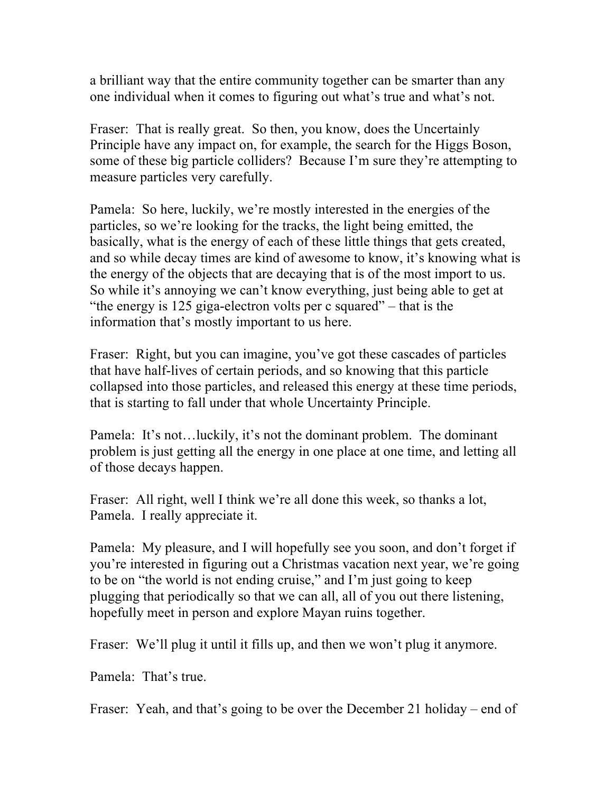a brilliant way that the entire community together can be smarter than any one individual when it comes to figuring out what's true and what's not.

Fraser: That is really great. So then, you know, does the Uncertainly Principle have any impact on, for example, the search for the Higgs Boson, some of these big particle colliders? Because I'm sure they're attempting to measure particles very carefully.

Pamela: So here, luckily, we're mostly interested in the energies of the particles, so we're looking for the tracks, the light being emitted, the basically, what is the energy of each of these little things that gets created, and so while decay times are kind of awesome to know, it's knowing what is the energy of the objects that are decaying that is of the most import to us. So while it's annoying we can't know everything, just being able to get at "the energy is 125 giga-electron volts per c squared" – that is the information that's mostly important to us here.

Fraser: Right, but you can imagine, you've got these cascades of particles that have half-lives of certain periods, and so knowing that this particle collapsed into those particles, and released this energy at these time periods, that is starting to fall under that whole Uncertainty Principle.

Pamela: It's not…luckily, it's not the dominant problem. The dominant problem is just getting all the energy in one place at one time, and letting all of those decays happen.

Fraser: All right, well I think we're all done this week, so thanks a lot, Pamela. I really appreciate it.

Pamela: My pleasure, and I will hopefully see you soon, and don't forget if you're interested in figuring out a Christmas vacation next year, we're going to be on "the world is not ending cruise," and I'm just going to keep plugging that periodically so that we can all, all of you out there listening, hopefully meet in person and explore Mayan ruins together.

Fraser: We'll plug it until it fills up, and then we won't plug it anymore.

Pamela: That's true.

Fraser: Yeah, and that's going to be over the December 21 holiday – end of